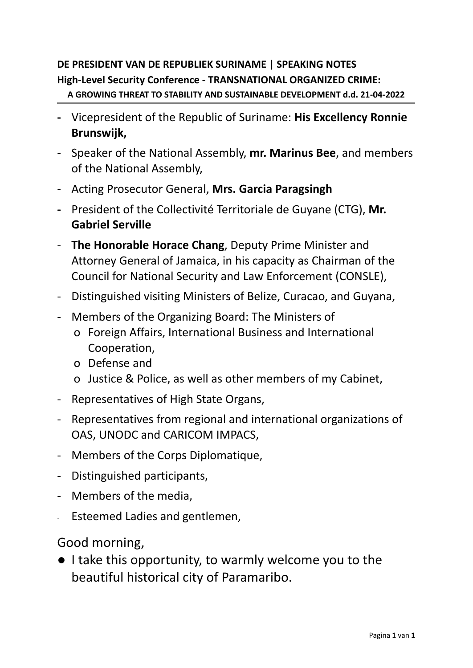## **DE PRESIDENT VAN DE REPUBLIEK SURINAME | SPEAKING NOTES High-Level Security Conference - TRANSNATIONAL ORGANIZED CRIME:**

**A GROWING THREAT TO STABILITY AND SUSTAINABLE DEVELOPMENT d.d. 21-04-2022**

- **-** Vicepresident of the Republic of Suriname: **His Excellency Ronnie Brunswijk,**
- Speaker of the National Assembly, **mr. Marinus Bee**, and members of the National Assembly,
- Acting Prosecutor General, **Mrs. Garcia Paragsingh**
- **-** President of the Collectivité Territoriale de Guyane (CTG), **Mr. Gabriel Serville**
- **The Honorable Horace Chang**, Deputy Prime Minister and Attorney General of Jamaica, in his capacity as Chairman of the Council for National Security and Law Enforcement (CONSLE),
- Distinguished visiting Ministers of Belize, Curacao, and Guyana,
- Members of the Organizing Board: The Ministers of
	- o Foreign Affairs, International Business and International Cooperation,
	- o Defense and
	- o Justice & Police, as well as other members of my Cabinet,
- Representatives of High State Organs,
- Representatives from regional and international organizations of OAS, UNODC and CARICOM IMPACS,
- Members of the Corps Diplomatique,
- Distinguished participants,
- Members of the media,
- Esteemed Ladies and gentlemen,

Good morning,

● I take this opportunity, to warmly welcome you to the beautiful historical city of Paramaribo.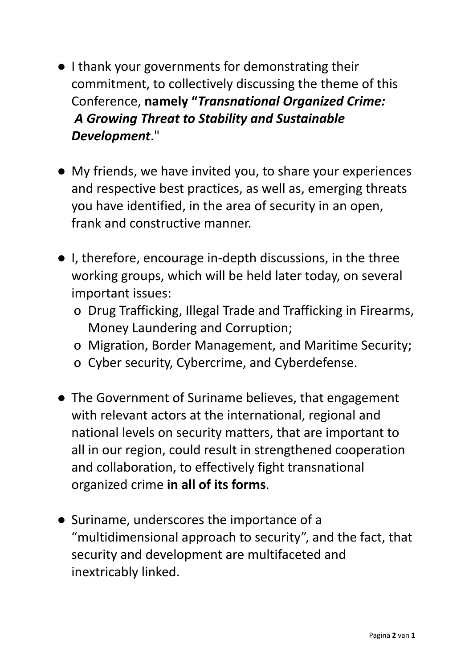- I thank your governments for demonstrating their commitment, to collectively discussing the theme of this Conference, **namely "***Transnational Organized Crime: A Growing Threat to Stability and Sustainable Development*."
- My friends, we have invited you, to share your experiences and respective best practices, as well as, emerging threats you have identified, in the area of security in an open, frank and constructive manner.
- I, therefore, encourage in-depth discussions, in the three working groups, which will be held later today, on several important issues:
	- o Drug Trafficking, Illegal Trade and Trafficking in Firearms, Money Laundering and Corruption;
	- o Migration, Border Management, and Maritime Security;
	- o Cyber security, Cybercrime, and Cyberdefense.
- The Government of Suriname believes, that engagement with relevant actors at the international, regional and national levels on security matters, that are important to all in our region, could result in strengthened cooperation and collaboration, to effectively fight transnational organized crime **in all of its forms**.
- Suriname, underscores the importance of a "multidimensional approach to security", and the fact, that security and development are multifaceted and inextricably linked.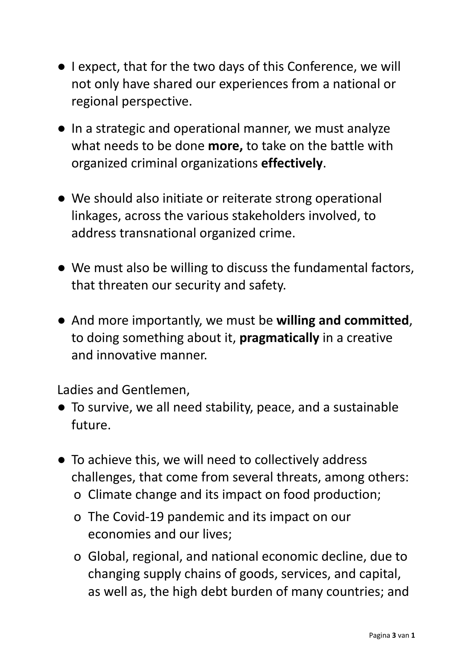- I expect, that for the two days of this Conference, we will not only have shared our experiences from a national or regional perspective.
- In a strategic and operational manner, we must analyze what needs to be done **more,** to take on the battle with organized criminal organizations **effectively**.
- We should also initiate or reiterate strong operational linkages, across the various stakeholders involved, to address transnational organized crime.
- We must also be willing to discuss the fundamental factors, that threaten our security and safety.
- And more importantly, we must be **willing and committed**, to doing something about it, **pragmatically** in a creative and innovative manner.

Ladies and Gentlemen,

- To survive, we all need stability, peace, and a sustainable future.
- To achieve this, we will need to collectively address challenges, that come from several threats, among others:
	- o Climate change and its impact on food production;
	- o The Covid-19 pandemic and its impact on our economies and our lives;
	- o Global, regional, and national economic decline, due to changing supply chains of goods, services, and capital, as well as, the high debt burden of many countries; and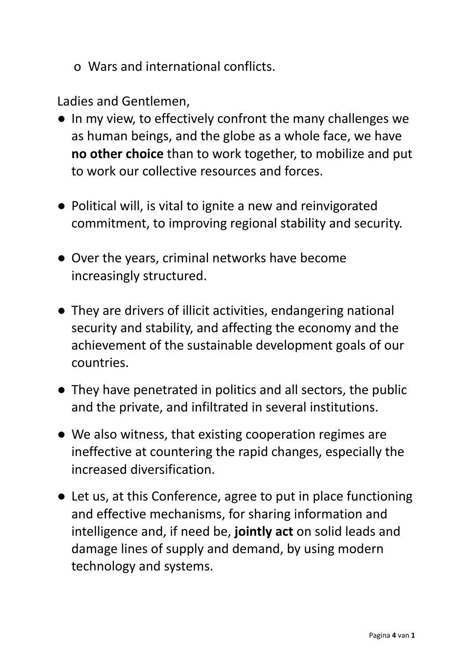o Wars and international conflicts.

Ladies and Gentlemen,

- In my view, to effectively confront the many challenges we as human beings, and the globe as a whole face, we have **no other choice** than to work together, to mobilize and put to work our collective resources and forces.
- Political will, is vital to ignite a new and reinvigorated commitment, to improving regional stability and security.
- Over the years, criminal networks have become increasingly structured.
- They are drivers of illicit activities, endangering national security and stability, and affecting the economy and the achievement of the sustainable development goals of our countries.
- They have penetrated in politics and all sectors, the public and the private, and infiltrated in several institutions.
- We also witness, that existing cooperation regimes are ineffective at countering the rapid changes, especially the increased diversification.
- Let us, at this Conference, agree to put in place functioning and effective mechanisms, for sharing information and intelligence and, if need be, **jointly act** on solid leads and damage lines of supply and demand, by using modern technology and systems.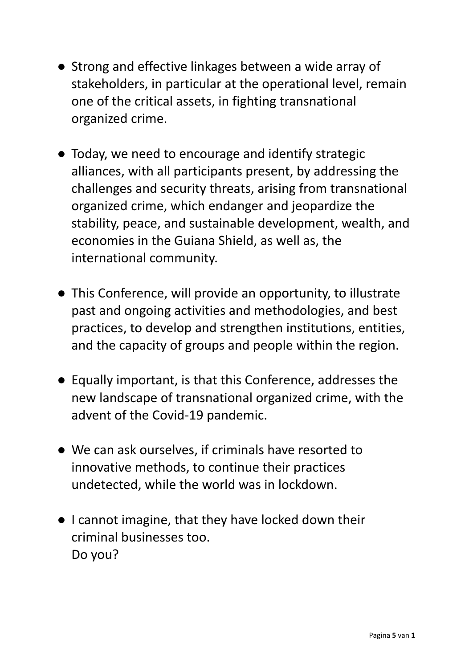- Strong and effective linkages between a wide array of stakeholders, in particular at the operational level, remain one of the critical assets, in fighting transnational organized crime.
- Today, we need to encourage and identify strategic alliances, with all participants present, by addressing the challenges and security threats, arising from transnational organized crime, which endanger and jeopardize the stability, peace, and sustainable development, wealth, and economies in the Guiana Shield, as well as, the international community.
- This Conference, will provide an opportunity, to illustrate past and ongoing activities and methodologies, and best practices, to develop and strengthen institutions, entities, and the capacity of groups and people within the region.
- Equally important, is that this Conference, addresses the new landscape of transnational organized crime, with the advent of the Covid-19 pandemic.
- We can ask ourselves, if criminals have resorted to innovative methods, to continue their practices undetected, while the world was in lockdown.
- I cannot imagine, that they have locked down their criminal businesses too. Do you?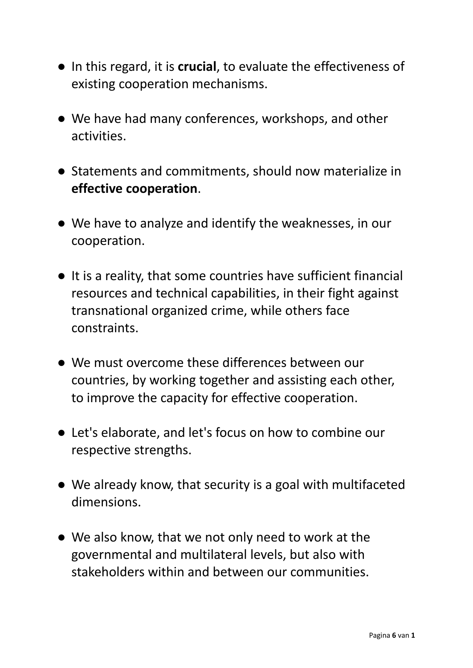- In this regard, it is **crucial**, to evaluate the effectiveness of existing cooperation mechanisms.
- We have had many conferences, workshops, and other activities.
- Statements and commitments, should now materialize in **effective cooperation**.
- We have to analyze and identify the weaknesses, in our cooperation.
- It is a reality, that some countries have sufficient financial resources and technical capabilities, in their fight against transnational organized crime, while others face constraints.
- We must overcome these differences between our countries, by working together and assisting each other, to improve the capacity for effective cooperation.
- Let's elaborate, and let's focus on how to combine our respective strengths.
- We already know, that security is a goal with multifaceted dimensions.
- We also know, that we not only need to work at the governmental and multilateral levels, but also with stakeholders within and between our communities.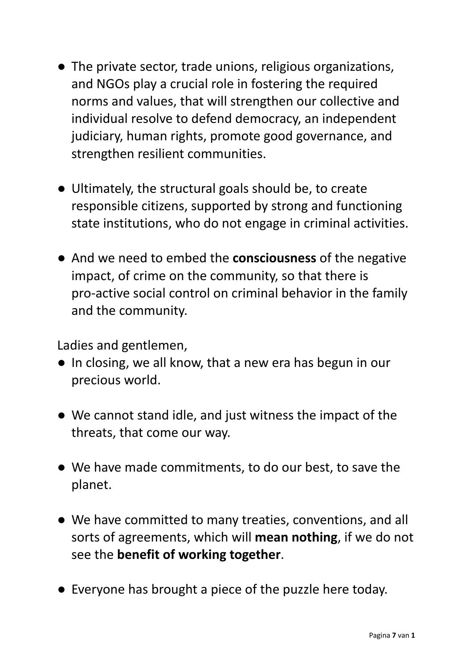- The private sector, trade unions, religious organizations, and NGOs play a crucial role in fostering the required norms and values, that will strengthen our collective and individual resolve to defend democracy, an independent judiciary, human rights, promote good governance, and strengthen resilient communities.
- Ultimately, the structural goals should be, to create responsible citizens, supported by strong and functioning state institutions, who do not engage in criminal activities.
- And we need to embed the **consciousness** of the negative impact, of crime on the community, so that there is pro-active social control on criminal behavior in the family and the community.

Ladies and gentlemen,

- In closing, we all know, that a new era has begun in our precious world.
- We cannot stand idle, and just witness the impact of the threats, that come our way.
- We have made commitments, to do our best, to save the planet.
- We have committed to many treaties, conventions, and all sorts of agreements, which will **mean nothing**, if we do not see the **benefit of working together**.
- Everyone has brought a piece of the puzzle here today.